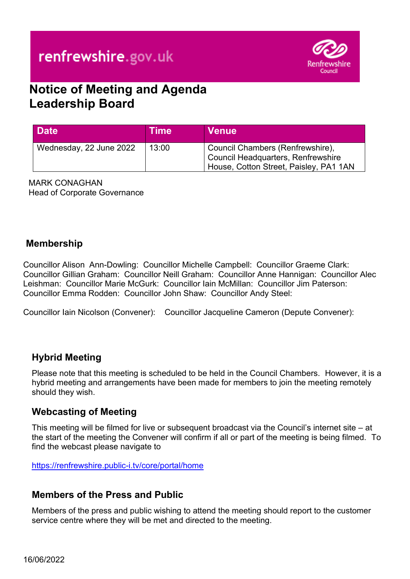

# **Notice of Meeting and Agenda Leadership Board**

| <b>Date</b>             | Time  | <b>Venue</b>                                                                                                     |  |
|-------------------------|-------|------------------------------------------------------------------------------------------------------------------|--|
| Wednesday, 22 June 2022 | 13:00 | Council Chambers (Renfrewshire),<br>Council Headquarters, Renfrewshire<br>House, Cotton Street, Paisley, PA1 1AN |  |

MARK CONAGHAN Head of Corporate Governance

#### **Membership**

Councillor Alison Ann-Dowling: Councillor Michelle Campbell: Councillor Graeme Clark: Councillor Gillian Graham: Councillor Neill Graham: Councillor Anne Hannigan: Councillor Alec Leishman: Councillor Marie McGurk: Councillor Iain McMillan: Councillor Jim Paterson: Councillor Emma Rodden: Councillor John Shaw: Councillor Andy Steel:

Councillor Iain Nicolson (Convener): Councillor Jacqueline Cameron (Depute Convener):

### **Hybrid Meeting**

Please note that this meeting is scheduled to be held in the Council Chambers. However, it is a hybrid meeting and arrangements have been made for members to join the meeting remotely should they wish.

#### **Webcasting of Meeting**

This meeting will be filmed for live or subsequent broadcast via the Council's internet site – at the start of the meeting the Convener will confirm if all or part of the meeting is being filmed. To find the webcast please navigate to

<https://renfrewshire.public-i.tv/core/portal/home>

#### **Members of the Press and Public**

Members of the press and public wishing to attend the meeting should report to the customer service centre where they will be met and directed to the meeting.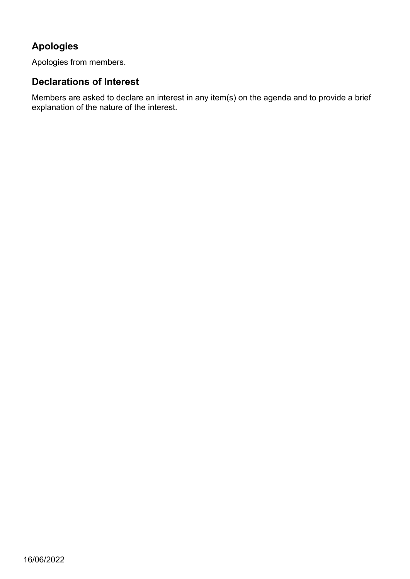# **Apologies**

Apologies from members.

### **Declarations of Interest**

Members are asked to declare an interest in any item(s) on the agenda and to provide a brief explanation of the nature of the interest.